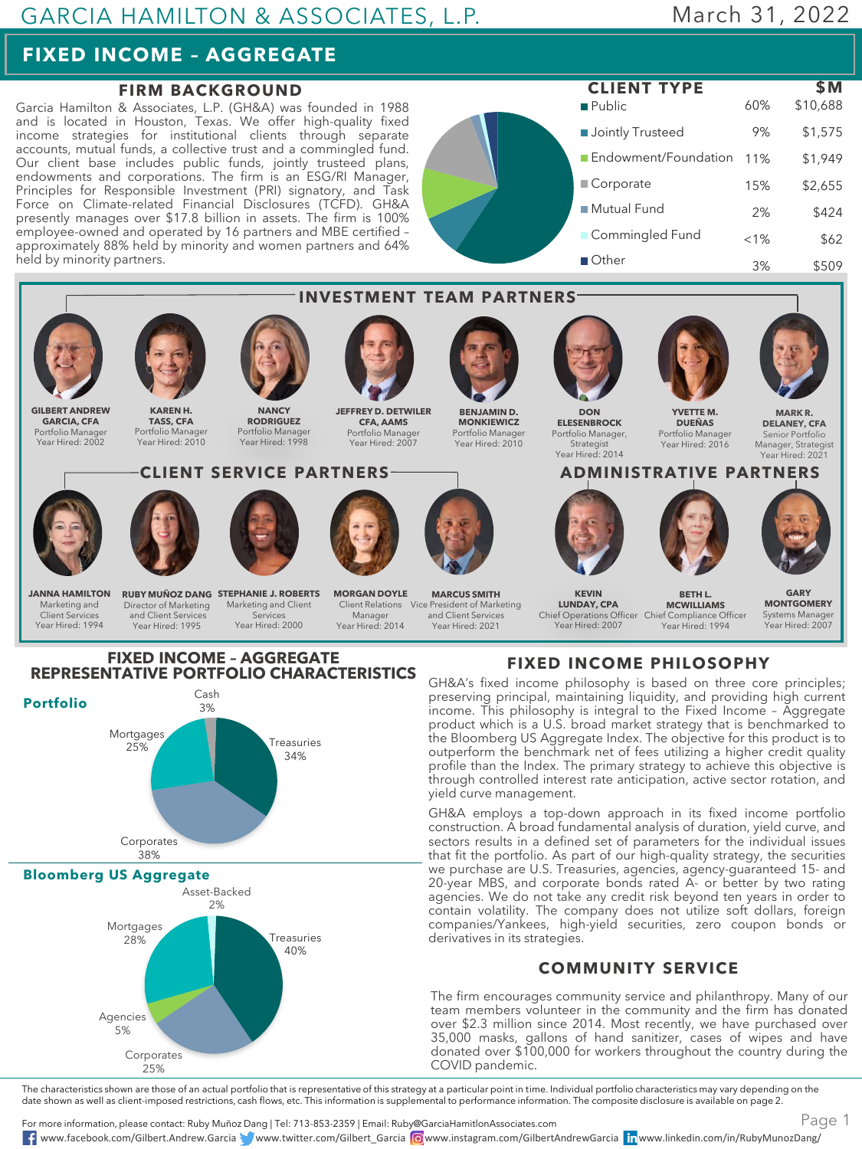## GARCIA HAMILTON & ASSOCIATES, L.P.

# March 31, 2022

# **FIXED INCOME – AGGREGATE**

**Bloomberg US Aggregate**

Mortgages 28%

Agencies 5%

Corporates 38%

> Asset-Backed 2%

Corporates 25%

#### **FIRM BACKGROUND**

Garcia Hamilton & Associates, L.P. (GH&A) was founded in 1988 and is located in Houston, Texas. We offer high-quality fixed income strategies for institutional clients through separate accounts, mutual funds, a collective trust and a commingled fund. Our client base includes public funds, jointly trusteed plans, endowments and corporations. The firm is an ESG/RI Manager, Principles for Responsible Investment (PRI) signatory, and Task Force on Climate-related Financial Disclosures (TCFD). GH&A presently manages over \$17.8 billion in assets. The firm is 100% employee-owned and operated by 16 partners and MBE certified – approximately 88% held by minority and women partners and 64% held by minority partners.

Public **Jointly Trusteed** Endowment/Foundation 11% Corporate ■ Mutual Fund **Commingled Fund** Other 60% \$10,688 9% \$1,575 \$1,949 15% \$2,655 2% \$424  $< 1\%$  \$62 3% \$509 **CLIENT TYPE \$M**



GH&A employs a top-down approach in its fixed income portfolio construction. A broad fundamental analysis of duration, yield curve, and sectors results in a defined set of parameters for the individual issues that fit the portfolio. As part of our high-quality strategy, the securities we purchase are U.S. Treasuries, agencies, agency-guaranteed 15- and 20-year MBS, and corporate bonds rated A- or better by two rating agencies. We do not take any credit risk beyond ten years in order to contain volatility. The company does not utilize soft dollars, foreign companies/Yankees, high-yield securities, zero coupon bonds or derivatives in its strategies.

#### **COMMUNITY SERVICE**

The firm encourages community service and philanthropy. Many of our team members volunteer in the community and the firm has donated over \$2.3 million since 2014. Most recently, we have purchased over 35,000 masks, gallons of hand sanitizer, cases of wipes and have donated over \$100,000 for workers throughout the country during the COVID pandemic.

The characteristics shown are those of an actual portfolio that is representative of this strategy at a particular point in time. Individual portfolio characteristics may vary depending on the date shown as well as client-imposed restrictions, cash flows, etc. This information is supplemental to performance information. The composite disclosure is available on page 2.

For more information, please contact: Ruby Muñoz Dang | Tel: 713-853-2359 | Email: Ruby@GarciaHamitlonAssociates.com www.facebook.com/Gilbert.Andrew.Garcia www.twitter.com/Gilbert\_Garcia www.instagram.com/GilbertAndrewGarcia www.linkedin.com/in/RubyMunozDang/

Treasuries 40%